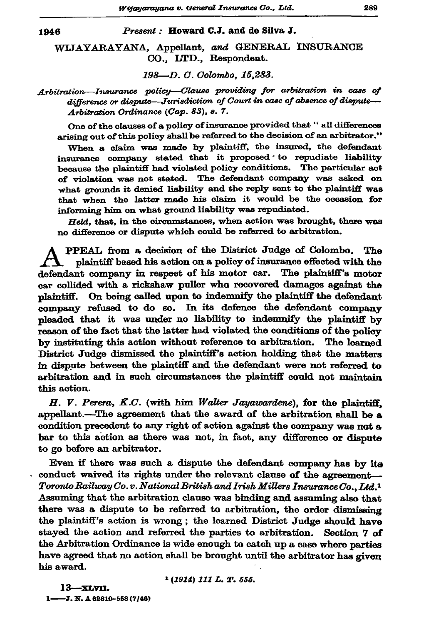Present: Howard C.J. and de Silva J.

WLJAYARAYANA, Appellant, and GENERAL INSURANCE CO., LTD., Respondent.

198-D.C. Colombo, 15,283.

Arbitration-Insurance policy-Clause providing for arbitration in case of difference or dispute—Jurisdiction of Court in case of absence of dispute— Arbitration Ordinance (Cap. 83), s. 7.

One of the clauses of a policy of insurance provided that " all differences arising out of this policy shall be referred to the decision of an arbitrator."

When a claim was made by plaintiff, the insured, the defendant insurance company stated that it proposed to repudiate liability because the plaintiff had violated policy conditions. The particular act of violation was not stated. The defendant company was asked on what grounds it denied liability and the reply sent to the plaintiff was that when the latter made his claim it would be the occasion for informing him on what ground liability was repudiated.

Held, that, in the circumstances, when action was brought, there was no difference or dispute which could be referred to arbitration.

PPEAL from a decision of the District Judge of Colombo. The plaintiff based his action on a policy of insurance effected with the defendant company in respect of his motor car. The plaintiff's motor car collided with a rickshaw puller who recovered damages against the plaintiff. On being called upon to indemnify the plaintiff the defendant company refused to do so. In its defence the defendant company pleaded that it was under no liability to indemnify the plaintiff by reason of the fact that the latter had violated the conditions of the policy by instituting this action without reference to arbitration. The learned District Judge dismissed the plaintiff's action holding that the matters in dispute between the plaintiff and the defendant were not referred to arbitration and in such circumstances the plaintiff could not maintain this action.

H. V. Perera, K.C. (with him Walter Jayawardene), for the plaintiff, appellant.--The agreement that the award of the arbitration shall be a condition precedent to any right of action against the company was not a bar to this action as there was not, in fact, any difference or dispute to go before an arbitrator.

Even if there was such a dispute the defendant company has by its conduct waived its rights under the relevant clause of the agreement-Toronio Railway Co.v. National British and Irish Millers Insurance Co., Ltd.<sup>1</sup> Assuming that the arbitration clause was binding and assuming also that there was a dispute to be referred to arbitration, the order dismissing the plaintiff's action is wrong; the learned District Judge should have stayed the action and referred the parties to arbitration. Section 7 of the Arbitration Ordinance is wide enough to catch up a case where parties have agreed that no action shall be brought until the arbitrator has given his award.

<sup>1</sup> (1914) 111 L. T. 555.

13—хьуп. 1-3. N. A 62810-558 (7/46)

1946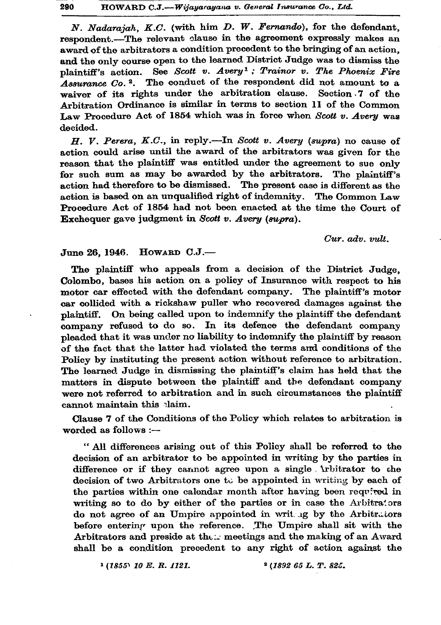N. Nadarajah, K.C. (with him D. W. Fernando), for the defendant. respondent.-The relevant clause in the agreement expressly makes an award of the arbitrators a condition precedent to the bringing of an action. and the only course open to the learned District Judge was to dismiss the See Scott v. Avery<sup>1</sup>; Trainor v. The Phoenix Fire plaintiff's action. Assurance Co.<sup>2</sup>. The conduct of the respondent did not amount to a waiver of its rights under the arbitration clause. Section 7 of the Arbitration Ordinance is similar in terms to section 11 of the Common Law Procedure Act of 1854 which was in force when Scott v. Avery was decided.

H. V. Perera, K.C., in reply.—In Scott v. Avery (supra) no cause of action could arise until the award of the arbitrators was given for the reason that the plaintiff was entitled under the agreement to sue only for such sum as may be awarded by the arbitrators. The plaintiff's action had therefore to be dismissed. The present case is different as the action is based on an unqualified right of indemnity. The Common Law Procedure Act of 1854 had not been enacted at the time the Court of Exchequer gave judgment in Scott v. Avery (supra).

Cur. adv. vult.

## June 26, 1946. HOWARD C.J.-

The plaintiff who appeals from a decision of the District Judge. Colombo, bases his action on a policy of Insurance with respect to his motor car effected with the defendant company. The plaintiff's motor car collided with a rickshaw puller who recovered damages against the plaintiff. On being called upon to indemnify the plaintiff the defendant company refused to do so. In its defence the defendant company pleaded that it was under no liability to indemnify the plaintiff by reason of the fact that the latter had violated the terms and conditions of the Policy by instituting the present action without reference to arbitration. The learned Judge in dismissing the plaintiff's claim has held that the matters in dispute between the plaintiff and the defendant company were not referred to arbitration and in such circumstances the plaintiff cannot maintain this laim.

Clause 7 of the Conditions of the Policy which relates to arbitration is worded as follows :-

" All differences arising out of this Policy shall be referred to the decision of an arbitrator to be appointed in writing by the parties in difference or if they cannot agree upon a single Arbitrator to the decision of two Arbitrators one to be appointed in writing by each of the parties within one calendar month after having been required in writing so to do by either of the parties or in case the Arbitrators do not agree of an Umpire appointed in writing by the Arbitrators before entering upon the reference. The Umpire shall sit with the Arbitrators and preside at the :.. meetings and the making of an Award shall be a condition precedent to any right of action against the

 $1(1855)$  10 E.R. 1121.

<sup>2</sup> (1892 65 L. T. 825.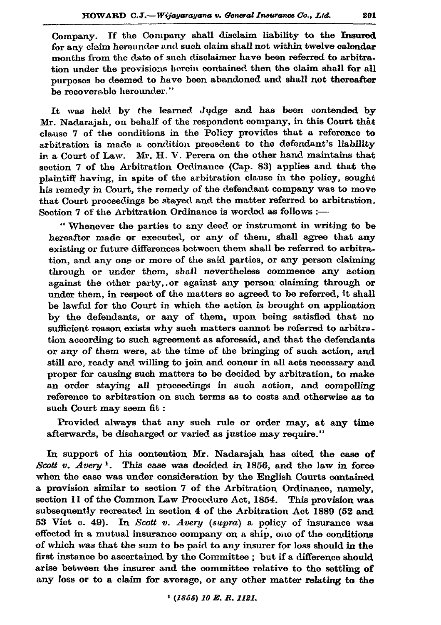Company. If the Company shall disclaim liability to the Insured for any claim hereunder and such claim shall not within twelve calendar months from the date of such disclaimer have been referred to arbitration under the provisions herein contained then the claim shall for all purposes be deemed to have been abandoned and shall not thereafter be recoverable herounder."

It was held by the learned Judge and has been contended by Mr. Nadaraiah, on behalf of the respondent company, in this Court that clause 7 of the conditions in the Policy provides that a reference to arbitration is made a condition precedent to the defendant's liability in a Court of Law. Mr. H. V. Perera on the other hand maintains that section 7 of the Arbitration Ordinance (Cap. 83) applies and that the plaintiff having, in spite of the arbitration clause in the policy, sought his remedy in Court, the remedy of the defendant company was to move that Court proceedings be stayed and the matter referred to arbitration. Section 7 of the Arbitration Ordinance is worded as follows :-

"Whenever the parties to any deed or instrument in writing to be hereafter made or executed, or any of them, shall agree that any existing or future differences between them shall be referred to arbitration, and any one or more of the said parties, or any person claiming through or under them, shall nevertheless commence any action against the other party, or against any person claiming through or under them, in respect of the matters so agreed to be referred, it shall be lawful for the Court in which the action is brought on application by the defendants, or any of them, upon being satisfied that no sufficient reason exists why such matters cannot be referred to arbitration according to such agreement as aforesaid, and that the defendants or any of them were, at the time of the bringing of such action, and still are, ready and willing to join and concur in all acts necessary and proper for causing such matters to be decided by arbitration, to make an order staving all proceedings in such action, and compelling reference to arbitration on such terms as to costs and otherwise as to such Court may seem fit:

Provided always that any such rule or order may, at any time afterwards, be discharged or varied as justice may require."

In support of his contention Mr. Nadarajah has cited the case of Scott v. Avery<sup>1</sup>. This case was decided in 1856, and the law in force when the case was under consideration by the English Courts contained a provision similar to section 7 of the Arbitration Ordinance, namely, section 11 of the Common Law Procedure Act, 1854. This provision was subsequently recreated in section 4 of the Arbitration Act 1889 (52 and 53 Vict c. 49). In Scott v. Avery (supra) a policy of insurance was effected in a mutual insurance company on a ship, one of the conditions of which was that the sum to be paid to any insurer for loss should in the first instance be ascertained by the Committee; but if a difference should arise between the insurer and the committee relative to the settling of any loss or to a claim for average, or any other matter relating to the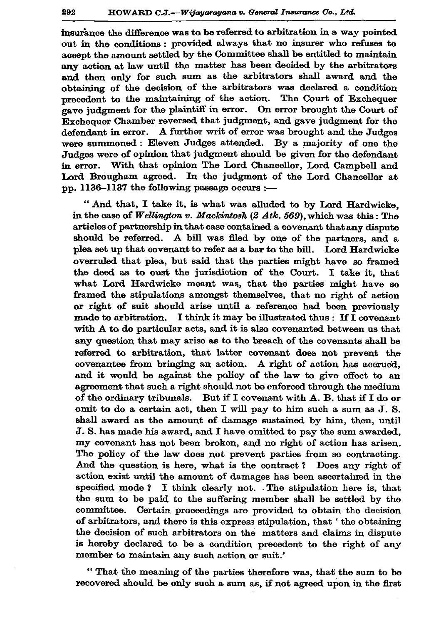insurance the difference was to be referred to arbitration in a way pointed out in the conditions: provided always that no insurer who refuses to accept the amount settled by the Committee shall be entitled to maintain any action at law until the matter has been decided by the arbitrators and then only for such sum as the arbitrators shall award and the obtaining of the decision of the arbitrators was declared a condition precedent to the maintaining of the action. The Court of Exchequer gave judgment for the plaintiff in error. On error brought the Court of Exchequer Chamber reversed that judgment, and gave judgment for the defendant in error. A further writ of error was brought and the Judges were summoned: Eleven Judges attended. By a majority of one the Judges were of opinion that judgment should be given for the defendant in error. With that opinion The Lord Chancellor, Lord Campbell and Lord Brougham agreed. In the judgment of the Lord Chancellor at pp. 1136-1137 the following passage occurs :-

" And that, I take it, is what was alluded to by Lord Hardwicke, in the case of Wellington v. Mackintosh  $(2 \, Atk. 569)$ , which was this: The articles of partnership in that case contained a covenant that any dispute should be referred. A bill was filed by one of the partners, and a plea set up that covenant to refer as a bar to the bill. Lord Hardwicke overruled that plea, but said that the parties might have so framed the deed as to oust the jurisdiction of the Court. I take it, that what Lord Hardwicke meant was, that the parties might have so framed the stipulations amongst themselves, that no right of action or right of suit should arise until a reference had been previously made to arbitration. I think it may be illustrated thus : If I covenant with A to do particular acts, and it is also covenanted between us that any question that may arise as to the breach of the covenants shall be referred to arbitration, that latter covenant does not prevent the covenantee from bringing an action. A right of action has accrued. and it would be against the policy of the law to give effect to an agreement that such a right should not be enforced through the medium of the ordinary tribunals. But if I covenant with A. B. that if I do or omit to do a certain act, then I will pay to him such a sum as J. S. shall award as the amount of damage sustained by him, then, until J. S. has made his award, and I have omitted to pay the sum awarded, my covenant has not been broken, and no right of action has arisen. The policy of the law does not prevent parties from so contracting. And the question is here, what is the contract? Does any right of action exist until the amount of damages has been ascertained in the specified mode? I think clearly not. The stipulation here is, that the sum to be paid to the suffering member shall be settled by the committee. Certain proceedings are provided to obtain the decision of arbitrators, and there is this express stipulation, that 'the obtaining the decision of such arbitrators on the matters and claims in dispute is hereby declared to be a condition precedent to the right of any member to maintain any such action or suit.'

"That the meaning of the parties therefore was, that the sum to be recovered should be only such a sum as, if not agreed upon in the first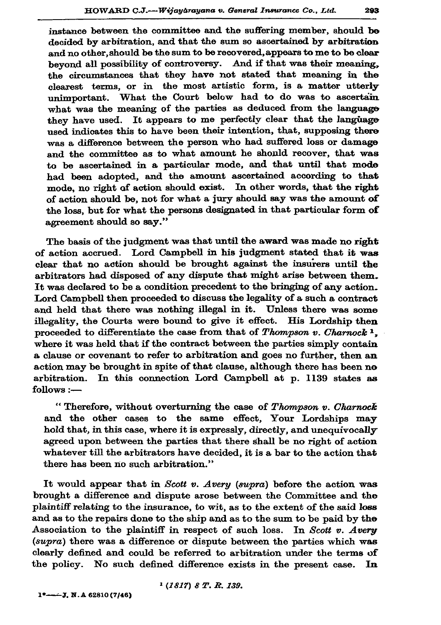instance between the committee and the suffering member, should be decided by arbitration, and that the sum so ascertained by arbitration and no other, should be the sum to be recovered, appears to me to be clear beyond all possibility of controversy. And if that was their meaning, the circumstances that they have not stated that meaning in the clearest terms, or in the most artistic form, is a matter utterly unimportant. What the Court below had to do was to ascertain what was the meaning of the parties as deduced from the language they have used. It appears to me perfectly clear that the language used indicates this to have been their intention, that, supposing there was a difference between the person who had suffered loss or damage and the committee as to what amount he should recover, that was to be ascertained in a particular mode, and that until that mode had been adopted, and the amount ascertained according to that mode, no right of action should exist. In other words, that the right of action should be, not for what a jury should say was the amount of the loss, but for what the persons designated in that particular form of agreement should so sav."

The basis of the judgment was that until the award was made no right of action accrued. Lord Campbell in his judgment stated that it was clear that no action should be brought against the insurers until the arbitrators had disposed of any dispute that might arise between them. It was declared to be a condition precedent to the bringing of any action. Lord Campbell then proceeded to discuss the legality of a such a contract and held that there was nothing illegal in it. Unless there was some illegality, the Courts were bound to give it effect. His Lordship then proceeded to differentiate the case from that of Thompson v. Charnock<sup>1</sup>. where it was held that if the contract between the parties simply contain a clause or covenant to refer to arbitration and goes no further, then an action may be brought in spite of that clause, although there has been no arbitration. In this connection Lord Campbell at p. 1139 states as follows :-

"Therefore, without overturning the case of Thompson v. Charnock and the other cases to the same effect, Your Lordships may hold that, in this case, where it is expressly, directly, and unequivocally agreed upon between the parties that there shall be no right of action whatever till the arbitrators have decided, it is a bar to the action that there has been no such arbitration."

It would appear that in Scott v. Avery (supra) before the action was brought a difference and dispute arose between the Committee and the plaintiff relating to the insurance, to wit, as to the extent of the said loss and as to the repairs done to the ship and as to the sum to be paid by the Association to the plaintiff in respect of such loss. In Scott v. Avery (supra) there was a difference or dispute between the parties which was clearly defined and could be referred to arbitration under the terms of the policy. No such defined difference exists in the present case. In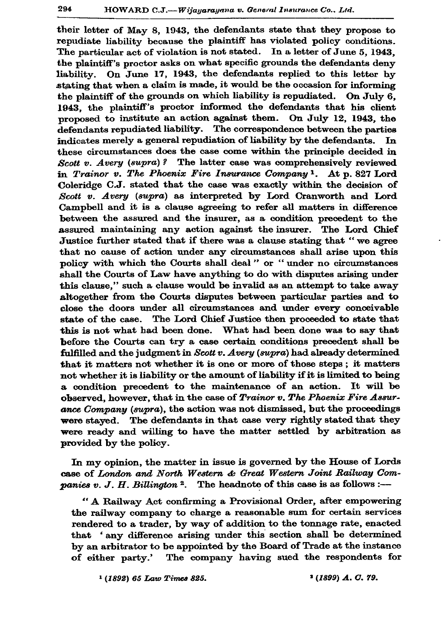their letter of May 8, 1943, the defendants state that they propose to repudiate liability because the plaintiff has violated policy conditions. The particular act of violation is not stated. In a letter of June 5, 1943, the plaintiff's proctor asks on what specific grounds the defendants denv liability. On June 17, 1943, the defendants replied to this letter by stating that when a claim is made, it would be the occasion for informing the plaintiff of the grounds on which liability is repudiated. On July 6. 1943, the plaintiff's proctor informed the defendants that his client proposed to institute an action against them. On July 12, 1943, the defendants repudiated liability. The correspondence between the parties indicates merely a general repudiation of liability by the defendants. In these circumstances does the case come within the principle decided in Scott v. Avery (supra)? The latter case was comprehensively reviewed in Trainor v. The Phoenix Fire Insurance Company<sup>1</sup>. At p. 827 Lord Coleridge C.J. stated that the case was exactly within the decision of Scott v. Avery (supra) as interpreted by Lord Cranworth and Lord Campbell and it is a clause agreeing to refer all matters in difference between the assured and the insurer, as a condition precedent to the assured maintaining any action against the insurer. The Lord Chief Justice further stated that if there was a clause stating that "we agree that no cause of action under any circumstances shall arise upon this policy with which the Courts shall deal" or "under no circumstances shall the Courts of Law have anything to do with disputes arising under this clause," such a clause would be invalid as an attempt to take away altogether from the Courts disputes between particular parties and to close the doors under all circumstances and under every conceivable The Lord Chief Justice then proceeded to state that state of the case. this is not what had been done. What had been done was to say that before the Courts can try a case certain conditions precedent shall be fulfilled and the judgment in Scott v. Avery (supra) had already determined that it matters not whether it is one or more of those steps; it matters not whether it is liability or the amount of liability if it is limited to being a condition precedent to the maintenance of an action. It will be observed, however, that in the case of Trainor v. The Phoenix Fire Assurance Company (supra), the action was not dismissed, but the proceedings were stayed. The defendants in that case very rightly stated that they were ready and willing to have the matter settled by arbitration as provided by the policy.

In my opinion, the matter in issue is governed by the House of Lords case of London and North Western & Great Western Joint Railway Com*panies v. J. H. Billington* <sup>2</sup>. The headnote of this case is as follows :-

"A Railway Act confirming a Provisional Order, after empowering the railway company to charge a reasonable sum for certain services rendered to a trader, by way of addition to the tonnage rate, enacted that 'any difference arising under this section shall be determined by an arbitrator to be appointed by the Board of Trade at the instance of either party.' The company having sued the respondents for

<sup>1</sup> (1892) 65 Law Times 825.

<sup>3</sup> (1899) A. C. 79.

294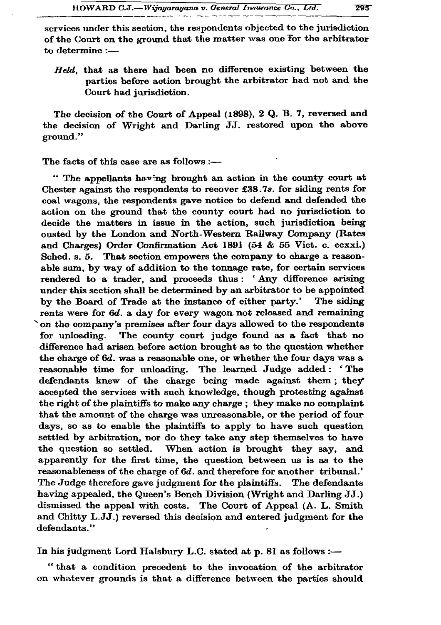services under this section, the respondents objected to the jurisdiction of the Court on the ground that the matter was one for the arbitrator to determine :-

Held, that as there had been no difference existing between the parties before action brought the arbitrator had not and the Court had jurisdiction.

The decision of the Court of Appeal (1898), 2 Q. B. 7, reversed and the decision of Wright and Darling JJ. restored upon the above ground."

The facts of this case are as follows :-

" The appellants having brought an action in the county court at Chester against the respondents to recover £38.7s. for siding rents for coal wagons, the respondents gave notice to defend and defended the action on the ground that the county court had no jurisdiction to decide the matters in issue in the action, such jurisdiction being ousted by the London and North-Western Railway Company (Rates and Charges) Order Confirmation Act 1891 (54 & 55 Vict. c. ccxxi.) Sched. s. 5. That section empowers the company to charge a reasonable sum, by way of addition to the tonnage rate, for certain services rendered to a trader, and proceeds thus: 'Any difference arising under this section shall be determined by an arbitrator to be appointed by the Board of Trade at the instance of either party.' The siding rents were for 6d. a day for every wagon not released and remaining on the company's premises after four days allowed to the respondents The county court judge found as a fact that no for unloading. difference had arisen before action brought as to the question whether the charge of 6d. was a reasonable one, or whether the four days was a reasonable time for unloading. The learned Judge added: 'The defendants knew of the charge being made against them; they accepted the services with such knowledge, though protesting against the right of the plaintiffs to make any charge; they make no complaint that the amount of the charge was unreasonable, or the period of four days, so as to enable the plaintiffs to apply to have such question settled by arbitration, nor do they take any step themselves to have the question so settled. When action is brought they say, and apparently for the first time, the question between us is as to the reasonableness of the charge of 6d. and therefore for another tribunal.' The Judge therefore gave judgment for the plaintiffs. The defendants having appealed, the Queen's Bench Division (Wright and Darling JJ.) dismissed the appeal with costs. The Court of Appeal (A. L. Smith and Chitty L.JJ.) reversed this decision and entered judgment for the defendants."

In his judgment Lord Halsbury L.C. stated at p. 81 as follows :-

"that a condition precedent to the invocation of the arbitrator on whatever grounds is that a difference between the parties should